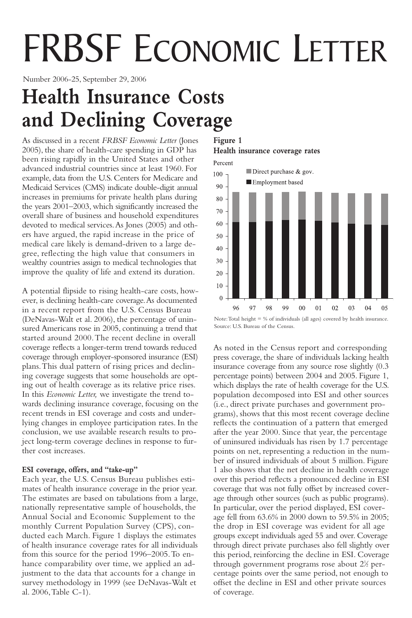# FRBSF ECONOMIC LETTER

Number 2006-25, September 29, 2006

# **Health Insurance Costs and Declining Coverage**

As discussed in a recent *FRBSF Economic Letter* (Jones 2005), the share of health-care spending in GDP has been rising rapidly in the United States and other advanced industrial countries since at least 1960. For example, data from the U.S. Centers for Medicare and Medicaid Services (CMS) indicate double-digit annual increases in premiums for private health plans during the years 2001–2003, which significantly increased the overall share of business and household expenditures devoted to medical services.As Jones (2005) and others have argued, the rapid increase in the price of medical care likely is demand-driven to a large degree, reflecting the high value that consumers in wealthy countries assign to medical technologies that improve the quality of life and extend its duration.

A potential flipside to rising health-care costs, however, is declining health-care coverage.As documented in a recent report from the U.S. Census Bureau (DeNavas-Walt et al. 2006), the percentage of uninsured Americans rose in 2005, continuing a trend that started around 2000.The recent decline in overall coverage reflects a longer-term trend towards reduced coverage through employer-sponsored insurance (ESI) plans.This dual pattern of rising prices and declining coverage suggests that some households are opting out of health coverage as its relative price rises. In this *Economic Letter,* we investigate the trend towards declining insurance coverage, focusing on the recent trends in ESI coverage and costs and underlying changes in employee participation rates. In the conclusion, we use available research results to project long-term coverage declines in response to further cost increases.

# **ESI coverage, offers, and "take-up"**

Each year, the U.S. Census Bureau publishes estimates of health insurance coverage in the prior year. The estimates are based on tabulations from a large, nationally representative sample of households, the Annual Social and Economic Supplement to the monthly Current Population Survey (CPS), conducted each March. Figure 1 displays the estimates of health insurance coverage rates for all individuals from this source for the period 1996–2005.To enhance comparability over time, we applied an adjustment to the data that accounts for a change in survey methodology in 1999 (see DeNavas-Walt et al. 2006,Table C-1).

**Figure 1 Health insurance coverage rates**



Note: Total height =  $%$  of individuals (all ages) covered by health insurance. Source: U.S. Bureau of the Census.

As noted in the Census report and corresponding press coverage, the share of individuals lacking health insurance coverage from any source rose slightly (0.3 percentage points) between 2004 and 2005. Figure 1, which displays the rate of health coverage for the U.S. population decomposed into ESI and other sources (i.e., direct private purchases and government programs), shows that this most recent coverage decline reflects the continuation of a pattern that emerged after the year 2000. Since that year, the percentage of uninsured individuals has risen by 1.7 percentage points on net, representing a reduction in the number of insured individuals of about 5 million. Figure 1 also shows that the net decline in health coverage over this period reflects a pronounced decline in ESI coverage that was not fully offset by increased coverage through other sources (such as public programs). In particular, over the period displayed, ESI coverage fell from 63.6% in 2000 down to 59.5% in 2005; the drop in ESI coverage was evident for all age groups except individuals aged 55 and over. Coverage through direct private purchases also fell slightly over this period, reinforcing the decline in ESI. Coverage through government programs rose about 2½ percentage points over the same period, not enough to offset the decline in ESI and other private sources of coverage.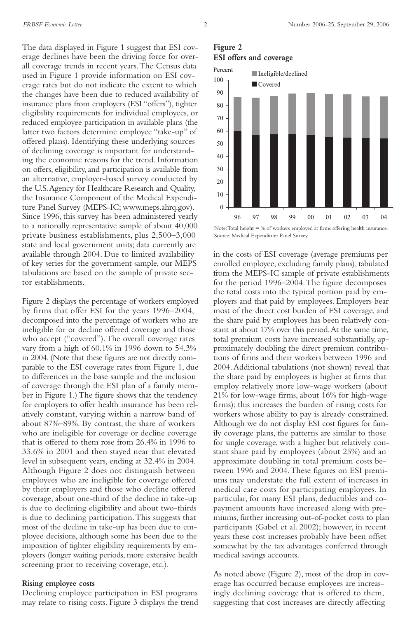The data displayed in Figure 1 suggest that ESI coverage declines have been the driving force for overall coverage trends in recent years.The Census data used in Figure 1 provide information on ESI coverage rates but do not indicate the extent to which the changes have been due to reduced availability of insurance plans from employers (ESI "offers"), tighter eligibility requirements for individual employees, or reduced employee participation in available plans (the latter two factors determine employee "take-up" of offered plans). Identifying these underlying sources of declining coverage is important for understanding the economic reasons for the trend. Information on offers, eligibility, and participation is available from an alternative, employer-based survey conducted by the U.S.Agency for Healthcare Research and Quality, the Insurance Component of the Medical Expenditure Panel Survey (MEPS-IC; www.meps.ahrq.gov). Since 1996, this survey has been administered yearly to a nationally representative sample of about 40,000 private business establishments, plus 2,500–3,000 state and local government units; data currently are available through 2004. Due to limited availability of key series for the government sample, our MEPS tabulations are based on the sample of private sector establishments.

Figure 2 displays the percentage of workers employed by firms that offer ESI for the years 1996–2004, decomposed into the percentage of workers who are ineligible for or decline offered coverage and those who accept ("covered").The overall coverage rates vary from a high of 60.1% in 1996 down to 54.3% in 2004. (Note that these figures are not directly comparable to the ESI coverage rates from Figure 1, due to differences in the base sample and the inclusion of coverage through the ESI plan of a family member in Figure 1.) The figure shows that the tendency for employers to offer health insurance has been relatively constant, varying within a narrow band of about 87%–89%. By contrast, the share of workers who are ineligible for coverage or decline coverage that is offered to them rose from 26.4% in 1996 to 33.6% in 2001 and then stayed near that elevated level in subsequent years, ending at 32.4% in 2004. Although Figure 2 does not distinguish between employees who are ineligible for coverage offered by their employers and those who decline offered coverage, about one-third of the decline in take-up is due to declining eligibility and about two-thirds is due to declining participation.This suggests that most of the decline in take-up has been due to employee decisions, although some has been due to the imposition of tighter eligibility requirements by employers (longer waiting periods, more extensive health screening prior to receiving coverage, etc.).

## **Rising employee costs**

Declining employee participation in ESI programs may relate to rising costs. Figure 3 displays the trend



Source: Medical Expenditure Panel Survey.

in the costs of ESI coverage (average premiums per enrolled employee, excluding family plans), tabulated from the MEPS-IC sample of private establishments for the period 1996–2004.The figure decomposes the total costs into the typical portion paid by employers and that paid by employees. Employers bear most of the direct cost burden of ESI coverage, and the share paid by employees has been relatively constant at about 17% over this period.At the same time, total premium costs have increased substantially, approximately doubling the direct premium contributions of firms and their workers between 1996 and 2004.Additional tabulations (not shown) reveal that the share paid by employees is higher at firms that employ relatively more low-wage workers (about 21% for low-wage firms, about 16% for high-wage firms); this increases the burden of rising costs for workers whose ability to pay is already constrained. Although we do not display ESI cost figures for family coverage plans, the patterns are similar to those for single coverage, with a higher but relatively constant share paid by employees (about 25%) and an approximate doubling in total premium costs between 1996 and 2004.These figures on ESI premiums may understate the full extent of increases in medical care costs for participating employees. In particular, for many ESI plans, deductibles and copayment amounts have increased along with premiums, further increasing out-of-pocket costs to plan participants (Gabel et al. 2002); however, in recent years these cost increases probably have been offset somewhat by the tax advantages conferred through medical savings accounts.

As noted above (Figure 2), most of the drop in coverage has occurred because employees are increasingly declining coverage that is offered to them, suggesting that cost increases are directly affecting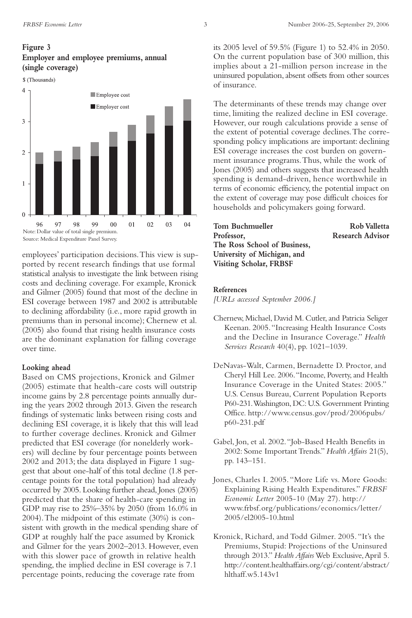# **Figure 3 Employer and employee premiums, annual (single coverage)**

\$ (Thousands)



employees' participation decisions.This view is supported by recent research findings that use formal statistical analysis to investigate the link between rising costs and declining coverage. For example, Kronick and Gilmer (2005) found that most of the decline in ESI coverage between 1987 and 2002 is attributable to declining affordability (i.e., more rapid growth in premiums than in personal income); Chernew et al. (2005) also found that rising health insurance costs are the dominant explanation for falling coverage over time.

#### **Looking ahead**

Based on CMS projections, Kronick and Gilmer (2005) estimate that health-care costs will outstrip income gains by 2.8 percentage points annually during the years 2002 through 2013. Given the research findings of systematic links between rising costs and declining ESI coverage, it is likely that this will lead to further coverage declines. Kronick and Gilmer predicted that ESI coverage (for nonelderly workers) will decline by four percentage points between 2002 and 2013; the data displayed in Figure 1 suggest that about one-half of this total decline (1.8 percentage points for the total population) had already occurred by 2005. Looking further ahead, Jones (2005) predicted that the share of health-care spending in GDP may rise to 25%–35% by 2050 (from 16.0% in 2004).The midpoint of this estimate (30%) is consistent with growth in the medical spending share of GDP at roughly half the pace assumed by Kronick and Gilmer for the years 2002–2013. However, even with this slower pace of growth in relative health spending, the implied decline in ESI coverage is 7.1 percentage points, reducing the coverage rate from

its 2005 level of 59.5% (Figure 1) to 52.4% in 2050. On the current population base of 300 million, this implies about a 21-million person increase in the uninsured population, absent offsets from other sources of insurance.

The determinants of these trends may change over time, limiting the realized decline in ESI coverage. However, our rough calculations provide a sense of the extent of potential coverage declines.The corresponding policy implications are important: declining ESI coverage increases the cost burden on government insurance programs.Thus, while the work of Jones (2005) and others suggests that increased health spending is demand-driven, hence worthwhile in terms of economic efficiency, the potential impact on the extent of coverage may pose difficult choices for households and policymakers going forward.

| Tom Buchmueller              | <b>Rob Valletta</b>     |
|------------------------------|-------------------------|
| Professor,                   | <b>Research Advisor</b> |
| The Ross School of Business, |                         |
| University of Michigan, and  |                         |
| Visiting Scholar, FRBSF      |                         |
|                              |                         |

#### **References**

*[URLs accessed September 2006.]*

- Chernew, Michael, David M. Cutler, and Patricia Seliger Keenan. 2005."Increasing Health Insurance Costs and the Decline in Insurance Coverage." *Health Services Research* 40(4), pp. 1021–1039.
- DeNavas-Walt, Carmen, Bernadette D. Proctor, and Cheryl Hill Lee. 2006."Income, Poverty, and Health Insurance Coverage in the United States: 2005." U.S. Census Bureau, Current Population Reports P60-231.Washington, DC: U.S. Government Printing Office. http://www.census.gov/prod/2006pubs/ p60-231.pdf
- Gabel, Jon, et al. 2002."Job-Based Health Benefits in 2002: Some Important Trends." *Health Affairs* 21(5), pp. 143–151.
- Jones, Charles I. 2005. "More Life vs. More Goods: Explaining Rising Health Expenditures." *FRBSF Economic Letter* 2005-10 (May 27). http:// www.frbsf.org/publications/economics/letter/ 2005/el2005-10.html
- Kronick, Richard, and Todd Gilmer. 2005. "It's the Premiums, Stupid: Projections of the Uninsured through 2013." *Health Affairs* Web Exclusive, April 5. http://content.healthaffairs.org/cgi/content/abstract/ hlthaff.w5.143v1